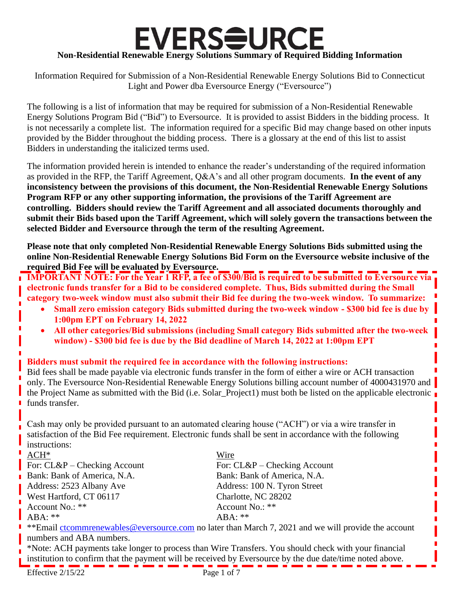# **EVERS<del>E</del>URCE Non-Residential Renewable Energy Solutions Summary of Required Bidding Information**

Information Required for Submission of a Non-Residential Renewable Energy Solutions Bid to Connecticut Light and Power dba Eversource Energy ("Eversource")

The following is a list of information that may be required for submission of a Non-Residential Renewable Energy Solutions Program Bid ("Bid") to Eversource. It is provided to assist Bidders in the bidding process. It is not necessarily a complete list. The information required for a specific Bid may change based on other inputs provided by the Bidder throughout the bidding process. There is a glossary at the end of this list to assist Bidders in understanding the italicized terms used.

The information provided herein is intended to enhance the reader's understanding of the required information as provided in the RFP, the Tariff Agreement, Q&A's and all other program documents. **In the event of any inconsistency between the provisions of this document, the Non-Residential Renewable Energy Solutions Program RFP or any other supporting information, the provisions of the Tariff Agreement are controlling. Bidders should review the Tariff Agreement and all associated documents thoroughly and submit their Bids based upon the Tariff Agreement, which will solely govern the transactions between the selected Bidder and Eversource through the term of the resulting Agreement.** 

**Please note that only completed Non-Residential Renewable Energy Solutions Bids submitted using the online Non-Residential Renewable Energy Solutions Bid Form on the Eversource website inclusive of the required Bid Fee will be evaluated by Eversource.**

**IMPORTANT NOTE: For the Year 1 RFP, a fee of \$300/Bid is required to be submitted to Eversource via electronic funds transfer for a Bid to be considered complete. Thus, Bids submitted during the Small category two-week window must also submit their Bid fee during the two-week window. To summarize:**

- **Small zero emission category Bids submitted during the two-week window - \$300 bid fee is due by 1:00pm EPT on February 14, 2022**
- **All other categories/Bid submissions (including Small category Bids submitted after the two-week window) - \$300 bid fee is due by the Bid deadline of March 14, 2022 at 1:00pm EPT**

#### **Bidders must submit the required fee in accordance with the following instructions:**

Bid fees shall be made payable via electronic funds transfer in the form of either a wire or ACH transaction only. The Eversource Non-Residential Renewable Energy Solutions billing account number of 4000431970 and the Project Name as submitted with the Bid (i.e. Solar\_Project1) must both be listed on the applicable electronic funds transfer.

Cash may only be provided pursuant to an automated clearing house ("ACH") or via a wire transfer in satisfaction of the Bid Fee requirement. Electronic funds shall be sent in accordance with the following instructions:

| $ACH^*$                                                                                             | Wire                           |
|-----------------------------------------------------------------------------------------------------|--------------------------------|
| For: $CL&P$ – Checking Account                                                                      | For: $CL&P$ – Checking Account |
| Bank: Bank of America, N.A.                                                                         | Bank: Bank of America, N.A.    |
| Address: 2523 Albany Ave                                                                            | Address: 100 N. Tyron Street   |
| West Hartford, CT 06117                                                                             | Charlotte, NC 28202            |
| Account No.: **                                                                                     | Account No.: **                |
| $ABA:$ **                                                                                           | $ABA:**$                       |
| **Email ctcommrenewables@eversource.com no later than March 7, 2021 and we will provide the account |                                |

numbers and ABA numbers. \*Note: ACH payments take longer to process than Wire Transfers. You should check with your financial

institution to confirm that the payment will be received by Eversource by the due date/time noted above.

Effective  $2/15/22$  Page 1 of 7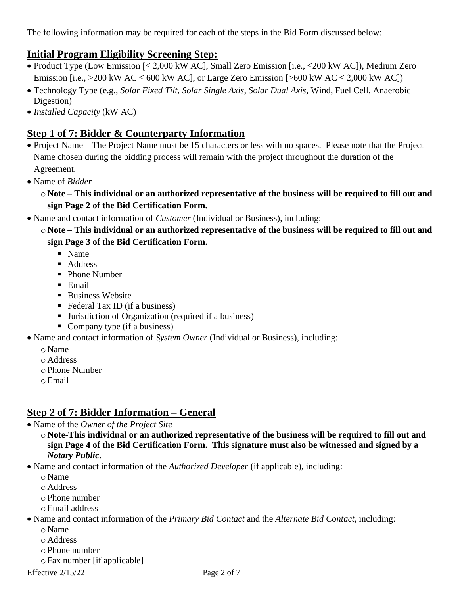The following information may be required for each of the steps in the Bid Form discussed below:

### **Initial Program Eligibility Screening Step:**

- Product Type (Low Emission [≤ 2,000 kW AC], Small Zero Emission [i.e., ≤200 kW AC]), Medium Zero Emission [i.e., >200 kW AC  $\leq$  600 kW AC], or Large Zero Emission [>600 kW AC  $\leq$  2,000 kW AC])
- Technology Type (e.g., *Solar Fixed Tilt*, *Solar Single Axis*, *Solar Dual Axis*, Wind, Fuel Cell, Anaerobic Digestion)
- *Installed Capacity* (kW AC)

### **Step 1 of 7: Bidder & Counterparty Information**

- Project Name The Project Name must be 15 characters or less with no spaces. Please note that the Project Name chosen during the bidding process will remain with the project throughout the duration of the Agreement.
- Name of *Bidder*
	- o **Note – This individual or an authorized representative of the business will be required to fill out and sign Page 2 of the Bid Certification Form.**
- Name and contact information of *Customer* (Individual or Business), including:
	- o **Note – This individual or an authorized representative of the business will be required to fill out and sign Page 3 of the Bid Certification Form.**
		- Name
		- Address
		- Phone Number
		- Email
		- Business Website
		- Federal Tax ID (if a business)
		- Jurisdiction of Organization (required if a business)
		- Company type (if a business)
- Name and contact information of *System Owner* (Individual or Business), including:
	- o Name
	- o Address
	- o Phone Number
	- oEmail

## **Step 2 of 7: Bidder Information – General**

- Name of the *Owner of the Project Site*
	- o **Note-This individual or an authorized representative of the business will be required to fill out and sign Page 4 of the Bid Certification Form. This signature must also be witnessed and signed by a**  *Notary Public***.**
- Name and contact information of the *Authorized Developer* (if applicable), including:
	- o Name
	- o Address
	- o Phone number
	- oEmail address
- Name and contact information of the *Primary Bid Contact* and the *Alternate Bid Contact*, including: o Name
	- o Address
	- o Phone number
	- o Fax number [if applicable]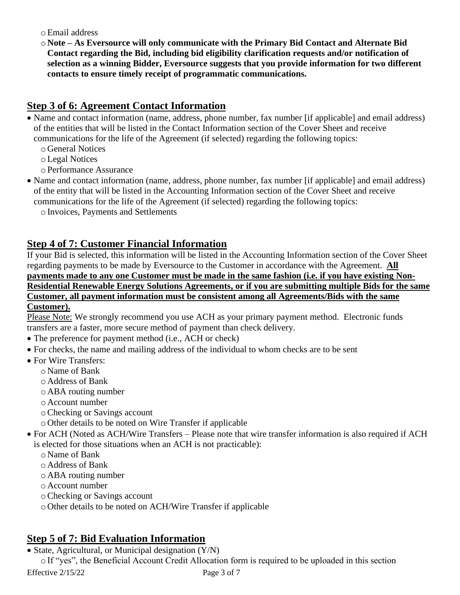oEmail address

o **Note – As Eversource will only communicate with the Primary Bid Contact and Alternate Bid Contact regarding the Bid, including bid eligibility clarification requests and/or notification of selection as a winning Bidder, Eversource suggests that you provide information for two different contacts to ensure timely receipt of programmatic communications.**

### **Step 3 of 6: Agreement Contact Information**

- Name and contact information (name, address, phone number, fax number [if applicable] and email address) of the entities that will be listed in the Contact Information section of the Cover Sheet and receive communications for the life of the Agreement (if selected) regarding the following topics:
	- o General Notices
	- oLegal Notices
	- o Performance Assurance
- Name and contact information (name, address, phone number, fax number [if applicable] and email address) of the entity that will be listed in the Accounting Information section of the Cover Sheet and receive communications for the life of the Agreement (if selected) regarding the following topics:

o Invoices, Payments and Settlements

### **Step 4 of 7: Customer Financial Information**

If your Bid is selected, this information will be listed in the Accounting Information section of the Cover Sheet regarding payments to be made by Eversource to the Customer in accordance with the Agreement. **All payments made to any one Customer must be made in the same fashion (i.e. if you have existing Non-Residential Renewable Energy Solutions Agreements, or if you are submitting multiple Bids for the same Customer, all payment information must be consistent among all Agreements/Bids with the same** 

#### **Customer).**

Please Note: We strongly recommend you use ACH as your primary payment method. Electronic funds transfers are a faster, more secure method of payment than check delivery.

- The preference for payment method (i.e., ACH or check)
- For checks, the name and mailing address of the individual to whom checks are to be sent
- For Wire Transfers:
	- o Name of Bank
	- o Address of Bank
	- o ABA routing number
	- o Account number
	- oChecking or Savings account
	- o Other details to be noted on Wire Transfer if applicable
- For ACH (Noted as ACH/Wire Transfers Please note that wire transfer information is also required if ACH is elected for those situations when an ACH is not practicable):
	- o Name of Bank
	- o Address of Bank
	- o ABA routing number
	- o Account number
	- oChecking or Savings account
	- o Other details to be noted on ACH/Wire Transfer if applicable

# **Step 5 of 7: Bid Evaluation Information**

- State, Agricultural, or Municipal designation (Y/N)
	- o If "yes", the Beneficial Account Credit Allocation form is required to be uploaded in this section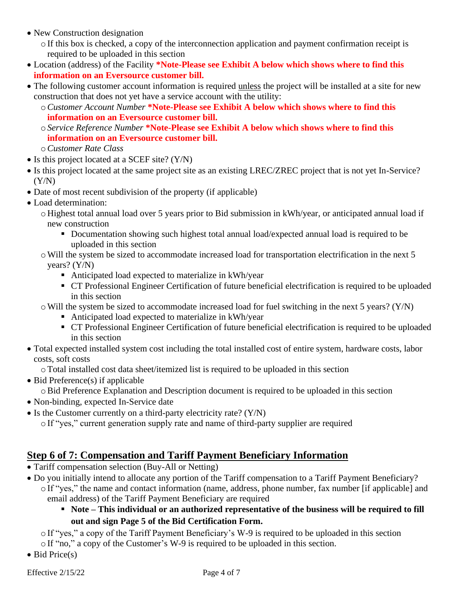- New Construction designation
	- o If this box is checked, a copy of the interconnection application and payment confirmation receipt is required to be uploaded in this section
- Location (address) of the Facility **\*Note-Please see Exhibit A below which shows where to find this information on an Eversource customer bill.**
- The following customer account information is required unless the project will be installed at a site for new construction that does not yet have a service account with the utility:
	- o*Customer Account Number* **\*Note-Please see Exhibit A below which shows where to find this information on an Eversource customer bill.**
	- o *Service Reference Number* **\*Note-Please see Exhibit A below which shows where to find this information on an Eversource customer bill.**

o*Customer Rate Class*

- Is this project located at a SCEF site? (Y/N)
- Is this project located at the same project site as an existing LREC/ZREC project that is not yet In-Service?  $(Y/N)$
- Date of most recent subdivision of the property (if applicable)
- Load determination:
	- o Highest total annual load over 5 years prior to Bid submission in kWh/year, or anticipated annual load if new construction
		- Documentation showing such highest total annual load/expected annual load is required to be uploaded in this section
	- $\circ$  Will the system be sized to accommodate increased load for transportation electrification in the next 5 years? (Y/N)
		- Anticipated load expected to materialize in kWh/year
		- CT Professional Engineer Certification of future beneficial electrification is required to be uploaded in this section
	- $\circ$  Will the system be sized to accommodate increased load for fuel switching in the next 5 years? (Y/N)
		- Anticipated load expected to materialize in kWh/year
		- CT Professional Engineer Certification of future beneficial electrification is required to be uploaded in this section
- Total expected installed system cost including the total installed cost of entire system, hardware costs, labor costs, soft costs
	- oTotal installed cost data sheet/itemized list is required to be uploaded in this section
- Bid Preference(s) if applicable
	- oBid Preference Explanation and Description document is required to be uploaded in this section
- Non-binding, expected In-Service date
- Is the Customer currently on a third-party electricity rate? (Y/N)
	- o If "yes," current generation supply rate and name of third-party supplier are required

### **Step 6 of 7: Compensation and Tariff Payment Beneficiary Information**

- Tariff compensation selection (Buy-All or Netting)
- Do you initially intend to allocate any portion of the Tariff compensation to a Tariff Payment Beneficiary?
	- o If "yes," the name and contact information (name, address, phone number, fax number [if applicable] and email address) of the Tariff Payment Beneficiary are required
		- **Note This individual or an authorized representative of the business will be required to fill out and sign Page 5 of the Bid Certification Form.**
		- o If "yes," a copy of the Tariff Payment Beneficiary's W-9 is required to be uploaded in this section
	- o If "no," a copy of the Customer's W-9 is required to be uploaded in this section.
- Bid Price(s)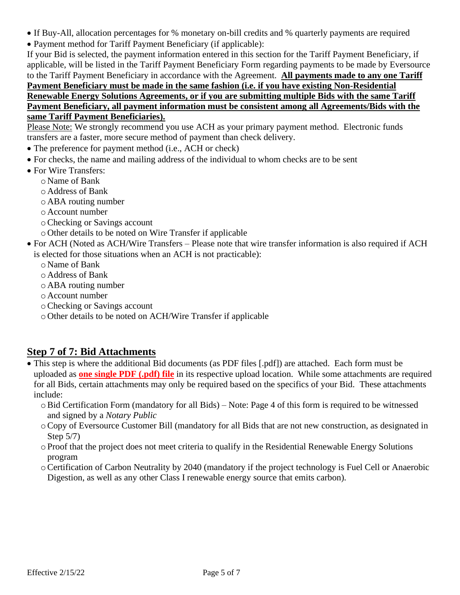- If Buy-All, allocation percentages for % monetary on-bill credits and % quarterly payments are required
- Payment method for Tariff Payment Beneficiary (if applicable):

If your Bid is selected, the payment information entered in this section for the Tariff Payment Beneficiary, if applicable, will be listed in the Tariff Payment Beneficiary Form regarding payments to be made by Eversource to the Tariff Payment Beneficiary in accordance with the Agreement. **All payments made to any one Tariff Payment Beneficiary must be made in the same fashion (i.e. if you have existing Non-Residential Renewable Energy Solutions Agreements, or if you are submitting multiple Bids with the same Tariff Payment Beneficiary, all payment information must be consistent among all Agreements/Bids with the same Tariff Payment Beneficiaries).**

Please Note: We strongly recommend you use ACH as your primary payment method. Electronic funds transfers are a faster, more secure method of payment than check delivery.

- The preference for payment method (i.e., ACH or check)
- For checks, the name and mailing address of the individual to whom checks are to be sent
- For Wire Transfers:
	- o Name of Bank
	- o Address of Bank
	- o ABA routing number
	- o Account number
	- oChecking or Savings account
	- o Other details to be noted on Wire Transfer if applicable
- For ACH (Noted as ACH/Wire Transfers Please note that wire transfer information is also required if ACH is elected for those situations when an ACH is not practicable):
	- o Name of Bank
	- o Address of Bank
	- o ABA routing number
	- o Account number
	- oChecking or Savings account
	- o Other details to be noted on ACH/Wire Transfer if applicable

### **Step 7 of 7: Bid Attachments**

- This step is where the additional Bid documents (as PDF files [.pdf]) are attached. Each form must be uploaded as **one single PDF (.pdf) file** in its respective upload location. While some attachments are required for all Bids, certain attachments may only be required based on the specifics of your Bid. These attachments include:
	- oBid Certification Form (mandatory for all Bids) Note: Page 4 of this form is required to be witnessed and signed by a *Notary Public*
	- oCopy of Eversource Customer Bill (mandatory for all Bids that are not new construction, as designated in Step 5/7)
	- o Proof that the project does not meet criteria to qualify in the Residential Renewable Energy Solutions program
	- oCertification of Carbon Neutrality by 2040 (mandatory if the project technology is Fuel Cell or Anaerobic Digestion, as well as any other Class I renewable energy source that emits carbon).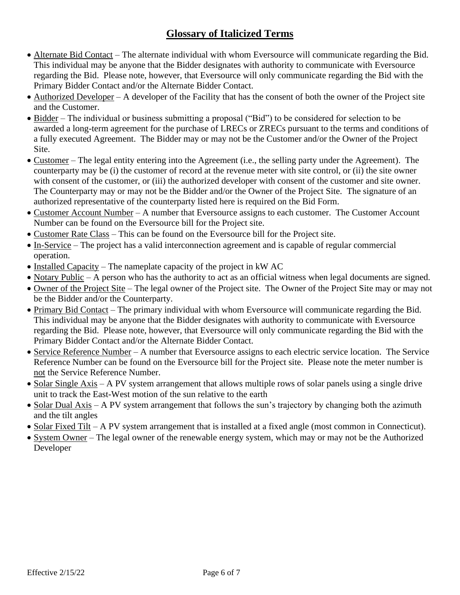### **Glossary of Italicized Terms**

- Alternate Bid Contact The alternate individual with whom Eversource will communicate regarding the Bid. This individual may be anyone that the Bidder designates with authority to communicate with Eversource regarding the Bid. Please note, however, that Eversource will only communicate regarding the Bid with the Primary Bidder Contact and/or the Alternate Bidder Contact.
- Authorized Developer A developer of the Facility that has the consent of both the owner of the Project site and the Customer.
- Bidder The individual or business submitting a proposal ("Bid") to be considered for selection to be awarded a long-term agreement for the purchase of LRECs or ZRECs pursuant to the terms and conditions of a fully executed Agreement. The Bidder may or may not be the Customer and/or the Owner of the Project Site.
- Customer The legal entity entering into the Agreement (i.e., the selling party under the Agreement). The counterparty may be (i) the customer of record at the revenue meter with site control, or (ii) the site owner with consent of the customer, or (iii) the authorized developer with consent of the customer and site owner. The Counterparty may or may not be the Bidder and/or the Owner of the Project Site. The signature of an authorized representative of the counterparty listed here is required on the Bid Form.
- Customer Account Number A number that Eversource assigns to each customer. The Customer Account Number can be found on the Eversource bill for the Project site.
- Customer Rate Class This can be found on the Eversource bill for the Project site.
- In-Service The project has a valid interconnection agreement and is capable of regular commercial operation.
- Installed Capacity The nameplate capacity of the project in kW AC
- Notary Public A person who has the authority to act as an official witness when legal documents are signed.
- Owner of the Project Site The legal owner of the Project site. The Owner of the Project Site may or may not be the Bidder and/or the Counterparty.
- Primary Bid Contact The primary individual with whom Eversource will communicate regarding the Bid. This individual may be anyone that the Bidder designates with authority to communicate with Eversource regarding the Bid. Please note, however, that Eversource will only communicate regarding the Bid with the Primary Bidder Contact and/or the Alternate Bidder Contact.
- Service Reference Number A number that Eversource assigns to each electric service location. The Service Reference Number can be found on the Eversource bill for the Project site. Please note the meter number is not the Service Reference Number.
- Solar Single Axis A PV system arrangement that allows multiple rows of solar panels using a single drive unit to track the East-West motion of the sun relative to the earth
- Solar Dual Axis A PV system arrangement that follows the sun's trajectory by changing both the azimuth and the tilt angles
- Solar Fixed Tilt A PV system arrangement that is installed at a fixed angle (most common in Connecticut).
- System Owner The legal owner of the renewable energy system, which may or may not be the Authorized Developer